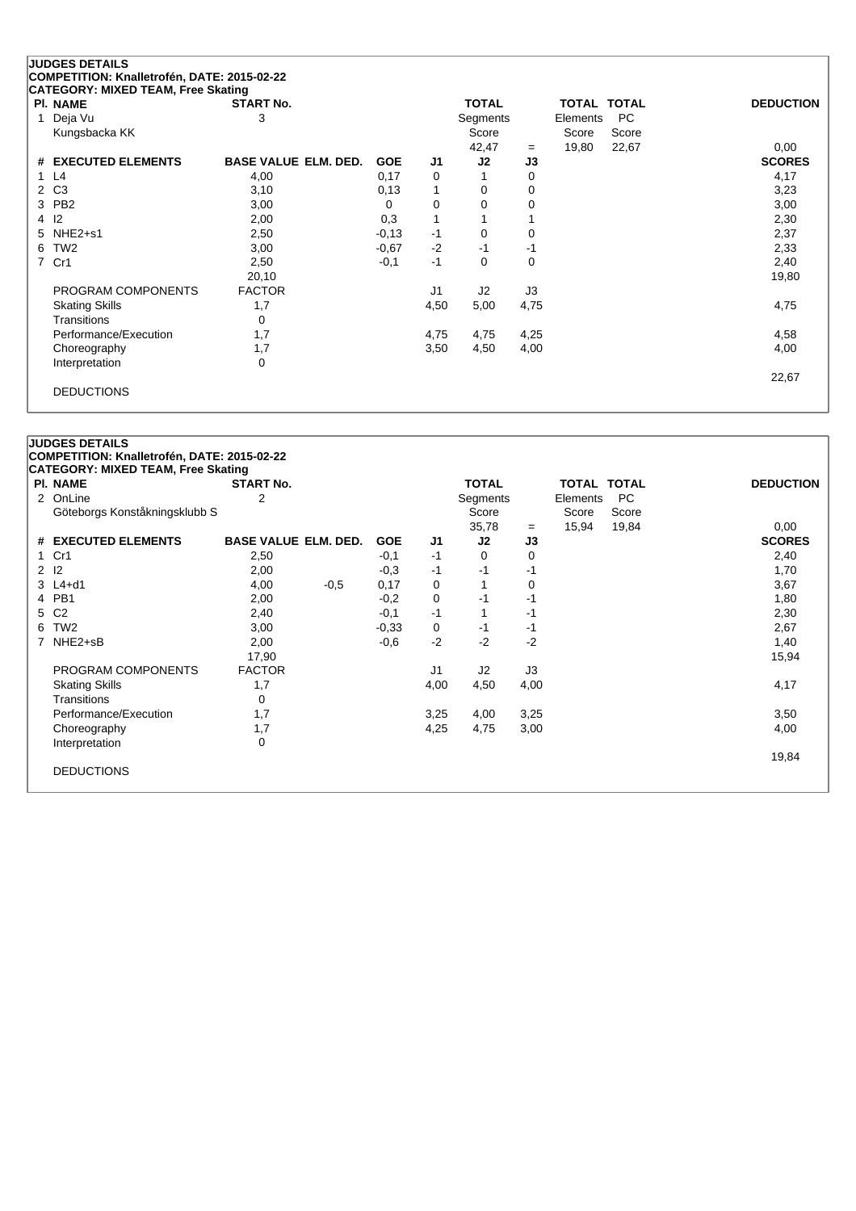## **JUDGES DETAILS COMPETITION: Knalletrofén, DATE: 2015-02-22 CATEGORY: MIXED TEAM, Free Skating**

| <b>PI. NAME</b>       | <b>START No.</b>            |            |      | <b>TOTAL</b> |      | TOTAL TOTAL |       | <b>DEDUCTION</b> |
|-----------------------|-----------------------------|------------|------|--------------|------|-------------|-------|------------------|
| Deja Vu               | 3                           |            |      | Segments     |      | Elements    | PC.   |                  |
| Kungsbacka KK         |                             |            |      | Score        |      | Score       | Score |                  |
|                       |                             |            |      | 42,47        | $=$  | 19,80       | 22,67 | 0,00             |
| # EXECUTED ELEMENTS   | <b>BASE VALUE ELM. DED.</b> | <b>GOE</b> | J1   | J2           | J3   |             |       | <b>SCORES</b>    |
| 1 L4                  | 4,00                        | 0,17       | 0    | 1            | 0    |             |       | 4,17             |
| 2 C <sub>3</sub>      | 3,10                        | 0,13       | 1    | 0            | 0    |             |       | 3,23             |
| 3 PB2                 | 3,00                        | 0          | 0    | 0            | 0    |             |       | 3,00             |
| $4 \quad 12$          | 2,00                        | 0,3        | 1    | 1            |      |             |       | 2,30             |
| 5 NHE2+s1             | 2,50                        | $-0,13$    | $-1$ | 0            | 0    |             |       | 2,37             |
| 6 TW2                 | 3,00                        | $-0,67$    | $-2$ | $-1$         | -1   |             |       | 2,33             |
| 7 Cr1                 | 2,50                        | $-0,1$     | $-1$ | 0            | 0    |             |       | 2,40             |
|                       | 20,10                       |            |      |              |      |             |       | 19,80            |
| PROGRAM COMPONENTS    | <b>FACTOR</b>               |            | J1   | J2           | J3   |             |       |                  |
| <b>Skating Skills</b> | 1,7                         |            | 4,50 | 5,00         | 4,75 |             |       | 4,75             |
| <b>Transitions</b>    | 0                           |            |      |              |      |             |       |                  |
| Performance/Execution | 1,7                         |            | 4,75 | 4,75         | 4,25 |             |       | 4,58             |
| Choreography          | 1,7                         |            | 3,50 | 4,50         | 4,00 |             |       | 4,00             |
| Interpretation        | 0                           |            |      |              |      |             |       |                  |
|                       |                             |            |      |              |      |             |       | 22,67            |
| <b>DEDUCTIONS</b>     |                             |            |      |              |      |             |       |                  |

## **JUDGES DETAILS**

**COMPETITION: Knalletrofén, DATE: 2015-02-22**

| <b>PI. NAME</b>               | <b>START No.</b>            |        |            |      | <b>TOTAL</b>   |          | TOTAL TOTAL |       | <b>DEDUCTION</b> |
|-------------------------------|-----------------------------|--------|------------|------|----------------|----------|-------------|-------|------------------|
| 2 OnLine                      | 2                           |        |            |      | Segments       |          | Elements    | PC.   |                  |
| Göteborgs Konståkningsklubb S |                             |        |            |      | Score          |          | Score       | Score |                  |
|                               |                             |        |            |      | 35,78          | $=$      | 15,94       | 19,84 | 0,00             |
| # EXECUTED ELEMENTS           | <b>BASE VALUE ELM. DED.</b> |        | <b>GOE</b> | J1   | J2             | J3       |             |       | <b>SCORES</b>    |
| Cr1<br>1                      | 2,50                        |        | $-0,1$     | -1   | 0              | $\Omega$ |             |       | 2,40             |
| 12<br>$\overline{2}$          | 2,00                        |        | $-0,3$     | -1   | $-1$           | -1       |             |       | 1,70             |
| $3 L4+d1$                     | 4,00                        | $-0.5$ | 0,17       | 0    |                | 0        |             |       | 3,67             |
| PB1<br>4                      | 2,00                        |        | $-0,2$     | 0    | -1             | -1       |             |       | 1,80             |
| C <sub>2</sub><br>5           | 2,40                        |        | $-0,1$     | $-1$ | 1              | $-1$     |             |       | 2,30             |
| TW <sub>2</sub><br>6          | 3,00                        |        | $-0.33$    | 0    | -1             | -1       |             |       | 2,67             |
| NHE2+sB<br>$7^{\circ}$        | 2,00                        |        | $-0,6$     | $-2$ | $-2$           | $-2$     |             |       | 1,40             |
|                               | 17,90                       |        |            |      |                |          |             |       | 15,94            |
| PROGRAM COMPONENTS            | <b>FACTOR</b>               |        |            | J1   | J <sub>2</sub> | J3       |             |       |                  |
| <b>Skating Skills</b>         | 1,7                         |        |            | 4,00 | 4,50           | 4,00     |             |       | 4,17             |
| Transitions                   | 0                           |        |            |      |                |          |             |       |                  |
| Performance/Execution         | 1,7                         |        |            | 3,25 | 4,00           | 3,25     |             |       | 3,50             |
| Choreography                  | 1,7                         |        |            | 4,25 | 4,75           | 3,00     |             |       | 4,00             |
| Interpretation                | 0                           |        |            |      |                |          |             |       |                  |
|                               |                             |        |            |      |                |          |             |       | 19,84            |
| <b>DEDUCTIONS</b>             |                             |        |            |      |                |          |             |       |                  |
|                               |                             |        |            |      |                |          |             |       |                  |